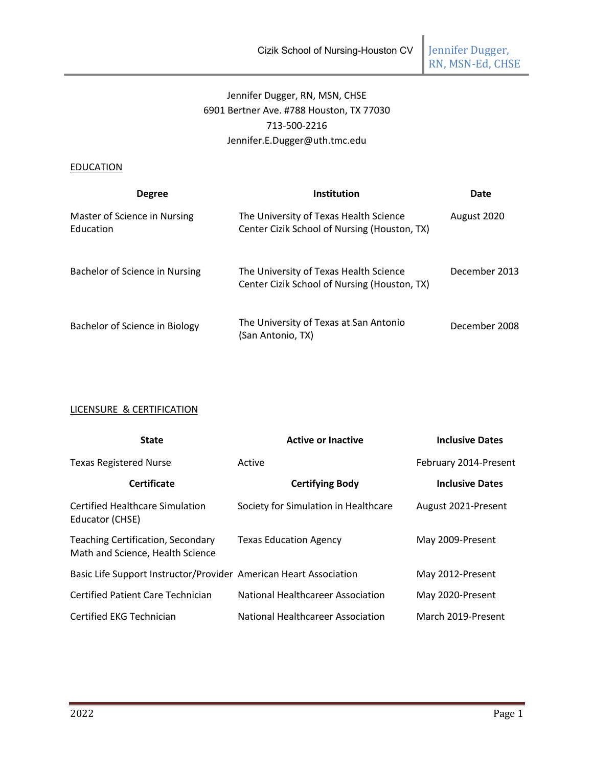Jennifer Dugger,<br>RN, MSN-Ed, CHSE

# Jennifer Dugger, RN, MSN, CHSE 6901 Bertner Ave. #788 Houston, TX 77030 713-500-2216 Jennifer.E.Dugger@uth.tmc.edu

## **EDUCATION**

| <b>Degree</b>                             | <b>Institution</b>                                                                     | Date          |
|-------------------------------------------|----------------------------------------------------------------------------------------|---------------|
| Master of Science in Nursing<br>Education | The University of Texas Health Science<br>Center Cizik School of Nursing (Houston, TX) | August 2020   |
| Bachelor of Science in Nursing            | The University of Texas Health Science<br>Center Cizik School of Nursing (Houston, TX) | December 2013 |
| Bachelor of Science in Biology            | The University of Texas at San Antonio<br>(San Antonio, TX)                            | December 2008 |

## LICENSURE & CERTIFICATION

| <b>State</b>                                                          | <b>Active or Inactive</b>                | <b>Inclusive Dates</b> |
|-----------------------------------------------------------------------|------------------------------------------|------------------------|
| <b>Texas Registered Nurse</b>                                         | Active                                   | February 2014-Present  |
| <b>Certificate</b>                                                    | <b>Certifying Body</b>                   | <b>Inclusive Dates</b> |
| Certified Healthcare Simulation<br>Educator (CHSE)                    | Society for Simulation in Healthcare     | August 2021-Present    |
| Teaching Certification, Secondary<br>Math and Science, Health Science | <b>Texas Education Agency</b>            | May 2009-Present       |
| Basic Life Support Instructor/Provider American Heart Association     |                                          | May 2012-Present       |
| Certified Patient Care Technician                                     | <b>National Healthcareer Association</b> | May 2020-Present       |
| Certified EKG Technician                                              | National Healthcareer Association        | March 2019-Present     |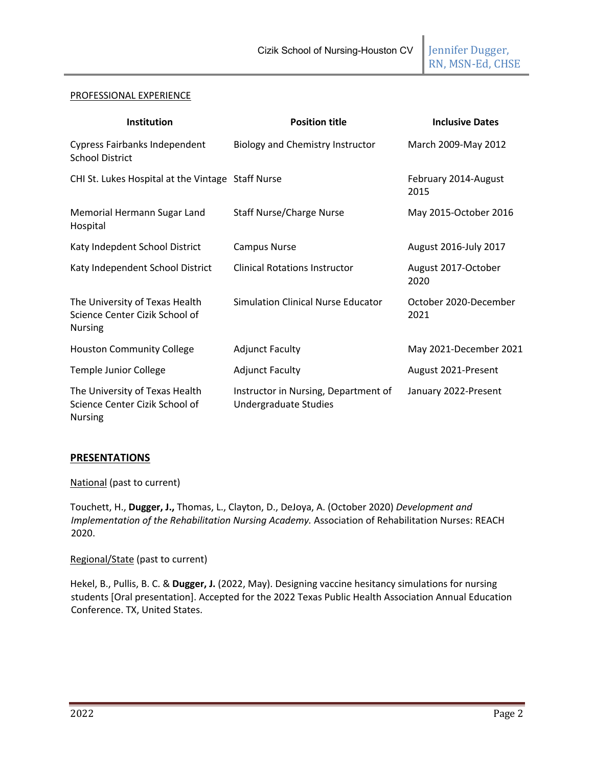RN, MSN-Ed, CHSE

#### PROFESSIONAL EXPERIENCE

| <b>Institution</b>                                                                 | <b>Position title</b>                                         | <b>Inclusive Dates</b>        |
|------------------------------------------------------------------------------------|---------------------------------------------------------------|-------------------------------|
| <b>Cypress Fairbanks Independent</b><br><b>School District</b>                     | <b>Biology and Chemistry Instructor</b>                       | March 2009-May 2012           |
| CHI St. Lukes Hospital at the Vintage Staff Nurse                                  |                                                               | February 2014-August<br>2015  |
| Memorial Hermann Sugar Land<br>Hospital                                            | <b>Staff Nurse/Charge Nurse</b>                               | May 2015-October 2016         |
| Katy Indepdent School District                                                     | <b>Campus Nurse</b>                                           | August 2016-July 2017         |
| Katy Independent School District                                                   | <b>Clinical Rotations Instructor</b>                          | August 2017-October<br>2020   |
| The University of Texas Health<br>Science Center Cizik School of<br><b>Nursing</b> | Simulation Clinical Nurse Educator                            | October 2020-December<br>2021 |
| <b>Houston Community College</b>                                                   | <b>Adjunct Faculty</b>                                        | May 2021-December 2021        |
| <b>Temple Junior College</b>                                                       | <b>Adjunct Faculty</b>                                        | August 2021-Present           |
| The University of Texas Health<br>Science Center Cizik School of<br>Nursing        | Instructor in Nursing, Department of<br>Undergraduate Studies | January 2022-Present          |

## **PRESENTATIONS**

National (past to current)

Touchett, H., **Dugger, J.,** Thomas, L., Clayton, D., DeJoya, A. (October 2020) *Development and Implementation of the Rehabilitation Nursing Academy.* Association of Rehabilitation Nurses: REACH 2020.

Regional/State (past to current)

Hekel, B., Pullis, B. C. & **Dugger, J.** (2022, May). Designing vaccine hesitancy simulations for nursing students [Oral presentation]. Accepted for the 2022 Texas Public Health Association Annual Education Conference. TX, United States.